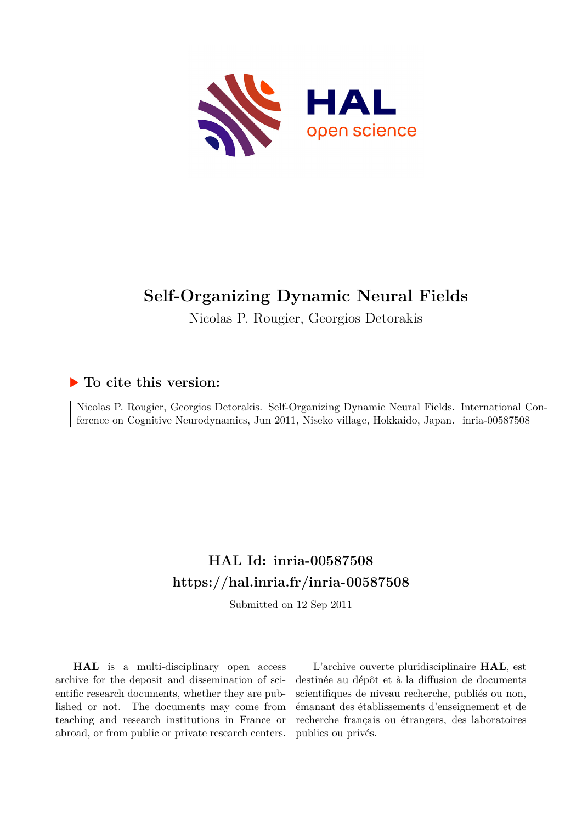

# **Self-Organizing Dynamic Neural Fields**

Nicolas P. Rougier, Georgios Detorakis

# **To cite this version:**

Nicolas P. Rougier, Georgios Detorakis. Self-Organizing Dynamic Neural Fields. International Conference on Cognitive Neurodynamics, Jun 2011, Niseko village, Hokkaido, Japan. inria-00587508

# **HAL Id: inria-00587508 <https://hal.inria.fr/inria-00587508>**

Submitted on 12 Sep 2011

**HAL** is a multi-disciplinary open access archive for the deposit and dissemination of scientific research documents, whether they are published or not. The documents may come from teaching and research institutions in France or abroad, or from public or private research centers.

L'archive ouverte pluridisciplinaire **HAL**, est destinée au dépôt et à la diffusion de documents scientifiques de niveau recherche, publiés ou non, émanant des établissements d'enseignement et de recherche français ou étrangers, des laboratoires publics ou privés.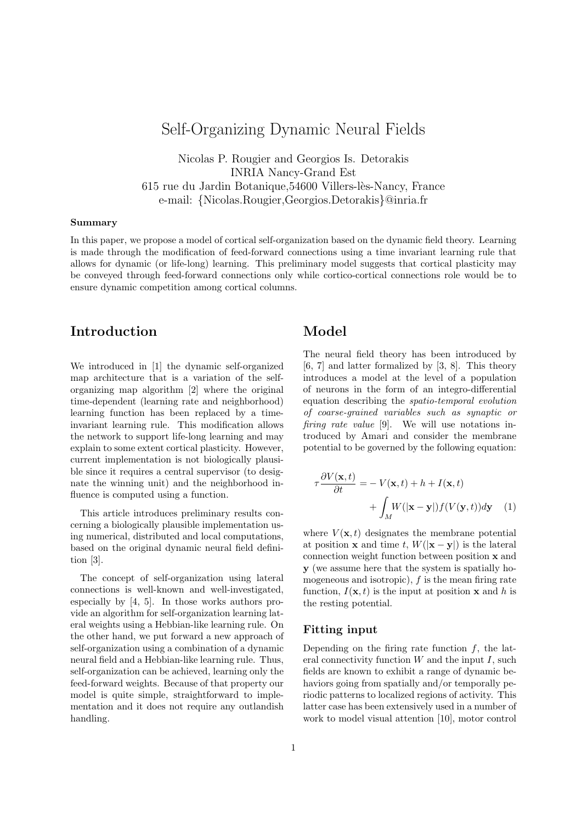# Self-Organizing Dynamic Neural Fields

Nicolas P. Rougier and Georgios Is. Detorakis INRIA Nancy-Grand Est 615 rue du Jardin Botanique, 54600 Villers-lès-Nancy, France e-mail: {Nicolas.Rougier,Georgios.Detorakis}@inria.fr

#### Summary

In this paper, we propose a model of cortical self-organization based on the dynamic field theory. Learning is made through the modification of feed-forward connections using a time invariant learning rule that allows for dynamic (or life-long) learning. This preliminary model suggests that cortical plasticity may be conveyed through feed-forward connections only while cortico-cortical connections role would be to ensure dynamic competition among cortical columns.

## Introduction

We introduced in [1] the dynamic self-organized map architecture that is a variation of the selforganizing map algorithm [2] where the original time-dependent (learning rate and neighborhood) learning function has been replaced by a timeinvariant learning rule. This modification allows the network to support life-long learning and may explain to some extent cortical plasticity. However, current implementation is not biologically plausible since it requires a central supervisor (to designate the winning unit) and the neighborhood influence is computed using a function.

This article introduces preliminary results concerning a biologically plausible implementation using numerical, distributed and local computations, based on the original dynamic neural field definition [3].

The concept of self-organization using lateral connections is well-known and well-investigated, especially by [4, 5]. In those works authors provide an algorithm for self-organization learning lateral weights using a Hebbian-like learning rule. On the other hand, we put forward a new approach of self-organization using a combination of a dynamic neural field and a Hebbian-like learning rule. Thus, self-organization can be achieved, learning only the feed-forward weights. Because of that property our model is quite simple, straightforward to implementation and it does not require any outlandish handling.

## Model

The neural field theory has been introduced by [6, 7] and latter formalized by [3, 8]. This theory introduces a model at the level of a population of neurons in the form of an integro-differential equation describing the spatio-temporal evolution of coarse-grained variables such as synaptic or firing rate value [9]. We will use notations introduced by Amari and consider the membrane potential to be governed by the following equation:

$$
\tau \frac{\partial V(\mathbf{x},t)}{\partial t} = -V(\mathbf{x},t) + h + I(\mathbf{x},t) + \int_M W(|\mathbf{x}-\mathbf{y}|) f(V(\mathbf{y},t)) d\mathbf{y} \tag{1}
$$

where  $V(\mathbf{x}, t)$  designates the membrane potential at position **x** and time t,  $W(|\mathbf{x}-\mathbf{y}|)$  is the lateral connection weight function between position x and y (we assume here that the system is spatially homogeneous and isotropic),  $f$  is the mean firing rate function,  $I(\mathbf{x}, t)$  is the input at position **x** and h is the resting potential.

#### Fitting input

Depending on the firing rate function  $f$ , the lateral connectivity function  $W$  and the input  $I$ , such fields are known to exhibit a range of dynamic behaviors going from spatially and/or temporally periodic patterns to localized regions of activity. This latter case has been extensively used in a number of work to model visual attention [10], motor control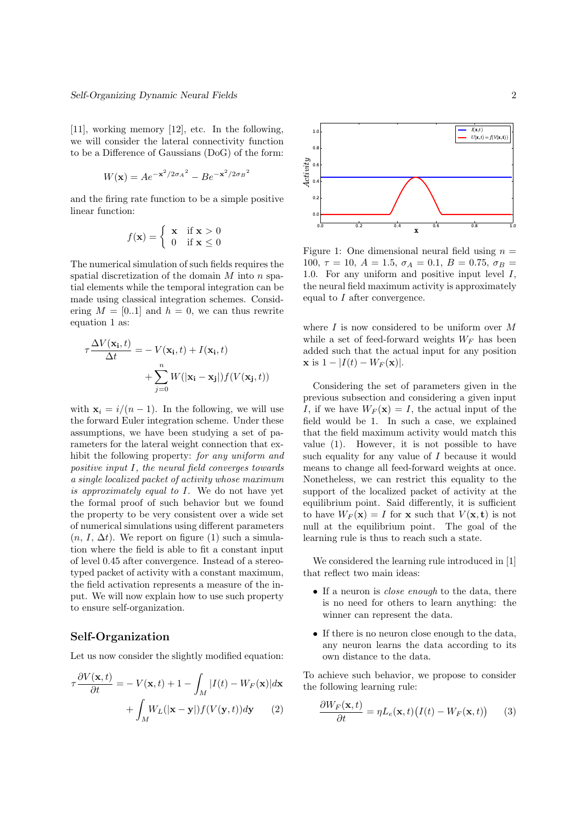[11], working memory [12], etc. In the following, we will consider the lateral connectivity function to be a Difference of Gaussians (DoG) of the form:

$$
W(\mathbf{x}) = Ae^{-\mathbf{x}^2/2\sigma_A^2} - Be^{-\mathbf{x}^2/2\sigma_B^2}
$$

and the firing rate function to be a simple positive linear function:

$$
f(\mathbf{x}) = \begin{cases} \mathbf{x} & \text{if } \mathbf{x} > 0 \\ 0 & \text{if } \mathbf{x} \le 0 \end{cases}
$$

The numerical simulation of such fields requires the spatial discretization of the domain  $M$  into  $n$  spatial elements while the temporal integration can be made using classical integration schemes. Considering  $M = [0..1]$  and  $h = 0$ , we can thus rewrite equation 1 as:

$$
\tau \frac{\Delta V(\mathbf{x_i},t)}{\Delta t} = -V(\mathbf{x_i},t) + I(\mathbf{x_i},t) + \sum_{j=0}^{n} W(|\mathbf{x_i} - \mathbf{x_j}|) f(V(\mathbf{x_j},t))
$$

with  $\mathbf{x}_i = i/(n-1)$ . In the following, we will use the forward Euler integration scheme. Under these assumptions, we have been studying a set of parameters for the lateral weight connection that exhibit the following property: for any uniform and positive input I, the neural field converges towards a single localized packet of activity whose maximum is approximately equal to I. We do not have yet the formal proof of such behavior but we found the property to be very consistent over a wide set of numerical simulations using different parameters  $(n, I, \Delta t)$ . We report on figure (1) such a simulation where the field is able to fit a constant input of level 0.45 after convergence. Instead of a stereotyped packet of activity with a constant maximum, the field activation represents a measure of the input. We will now explain how to use such property to ensure self-organization.

### Self-Organization

Let us now consider the slightly modified equation:

$$
\tau \frac{\partial V(\mathbf{x},t)}{\partial t} = -V(\mathbf{x},t) + 1 - \int_M |I(t) - W_F(\mathbf{x})| d\mathbf{x}
$$

$$
+ \int_M W_L(|\mathbf{x} - \mathbf{y}|) f(V(\mathbf{y},t)) d\mathbf{y} \qquad (2)
$$



Figure 1: One dimensional neural field using  $n =$ 100,  $\tau = 10$ ,  $A = 1.5$ ,  $\sigma_A = 0.1$ ,  $B = 0.75$ ,  $\sigma_B =$ 1.0. For any uniform and positive input level I, the neural field maximum activity is approximately equal to I after convergence.

where  $I$  is now considered to be uniform over  $M$ while a set of feed-forward weights  $W_F$  has been added such that the actual input for any position  $x$  is  $1 - |I(t) - W_F(x)|$ .

Considering the set of parameters given in the previous subsection and considering a given input I, if we have  $W_F(\mathbf{x}) = I$ , the actual input of the field would be 1. In such a case, we explained that the field maximum activity would match this value (1). However, it is not possible to have such equality for any value of  $I$  because it would means to change all feed-forward weights at once. Nonetheless, we can restrict this equality to the support of the localized packet of activity at the equilibrium point. Said differently, it is sufficient to have  $W_F(\mathbf{x}) = I$  for **x** such that  $V(\mathbf{x}, \mathbf{t})$  is not null at the equilibrium point. The goal of the learning rule is thus to reach such a state.

We considered the learning rule introduced in [1] that reflect two main ideas:

- If a neuron is *close enough* to the data, there is no need for others to learn anything: the winner can represent the data.
- If there is no neuron close enough to the data, any neuron learns the data according to its own distance to the data.

To achieve such behavior, we propose to consider the following learning rule:

$$
\frac{\partial W_F(\mathbf{x},t)}{\partial t} = \eta L_e(\mathbf{x},t) \big( I(t) - W_F(\mathbf{x},t) \big) \tag{3}
$$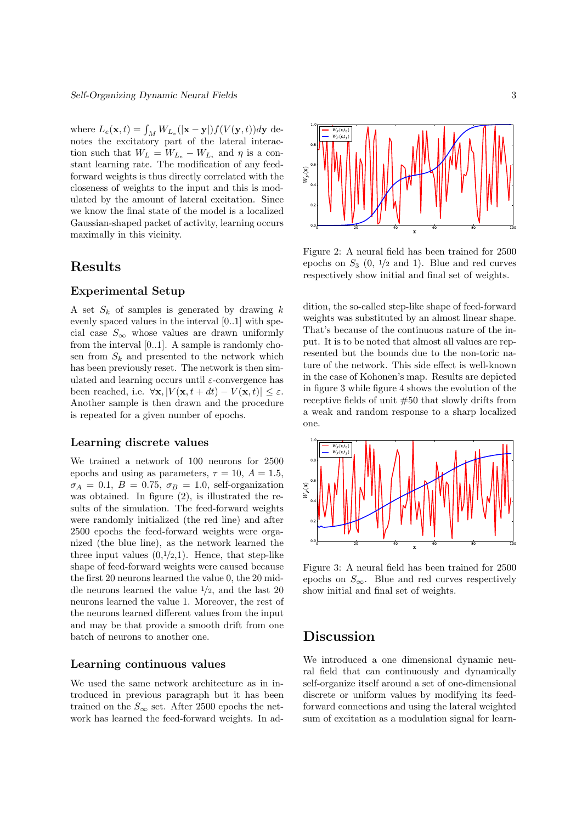where  $L_e(\mathbf{x}, t) = \int_M W_{L_e}(|\mathbf{x} - \mathbf{y}|) f(V(\mathbf{y}, t)) d\mathbf{y}$  denotes the excitatory part of the lateral interaction such that  $W_L = W_{L_e} - W_{L_i}$  and  $\eta$  is a constant learning rate. The modification of any feedforward weights is thus directly correlated with the closeness of weights to the input and this is modulated by the amount of lateral excitation. Since we know the final state of the model is a localized Gaussian-shaped packet of activity, learning occurs maximally in this vicinity.

## Results

#### Experimental Setup

A set  $S_k$  of samples is generated by drawing  $k$ evenly spaced values in the interval [0..1] with special case  $S_{\infty}$  whose values are drawn uniformly from the interval [0..1]. A sample is randomly chosen from  $S_k$  and presented to the network which has been previously reset. The network is then simulated and learning occurs until  $\varepsilon$ -convergence has been reached, i.e.  $\forall$ **x**,  $|V(\mathbf{x}, t + dt) - V(\mathbf{x}, t)| \leq \varepsilon$ . Another sample is then drawn and the procedure is repeated for a given number of epochs.

#### Learning discrete values

We trained a network of 100 neurons for 2500 epochs and using as parameters,  $\tau = 10$ ,  $A = 1.5$ ,  $\sigma_A = 0.1, B = 0.75, \sigma_B = 1.0$ , self-organization was obtained. In figure (2), is illustrated the results of the simulation. The feed-forward weights were randomly initialized (the red line) and after 2500 epochs the feed-forward weights were organized (the blue line), as the network learned the three input values  $(0,1/2,1)$ . Hence, that step-like shape of feed-forward weights were caused because the first 20 neurons learned the value 0, the 20 middle neurons learned the value  $\frac{1}{2}$ , and the last 20 neurons learned the value 1. Moreover, the rest of the neurons learned different values from the input and may be that provide a smooth drift from one batch of neurons to another one.

#### Learning continuous values

We used the same network architecture as in introduced in previous paragraph but it has been trained on the  $S_{\infty}$  set. After 2500 epochs the network has learned the feed-forward weights. In ad-



Figure 2: A neural field has been trained for 2500 epochs on  $S_3$  (0,  $1/2$  and 1). Blue and red curves respectively show initial and final set of weights.

dition, the so-called step-like shape of feed-forward weights was substituted by an almost linear shape. That's because of the continuous nature of the input. It is to be noted that almost all values are represented but the bounds due to the non-toric nature of the network. This side effect is well-known in the case of Kohonen's map. Results are depicted in figure 3 while figure 4 shows the evolution of the receptive fields of unit #50 that slowly drifts from a weak and random response to a sharp localized one.



Figure 3: A neural field has been trained for 2500 epochs on  $S_{\infty}$ . Blue and red curves respectively show initial and final set of weights.

## Discussion

We introduced a one dimensional dynamic neural field that can continuously and dynamically self-organize itself around a set of one-dimensional discrete or uniform values by modifying its feedforward connections and using the lateral weighted sum of excitation as a modulation signal for learn-